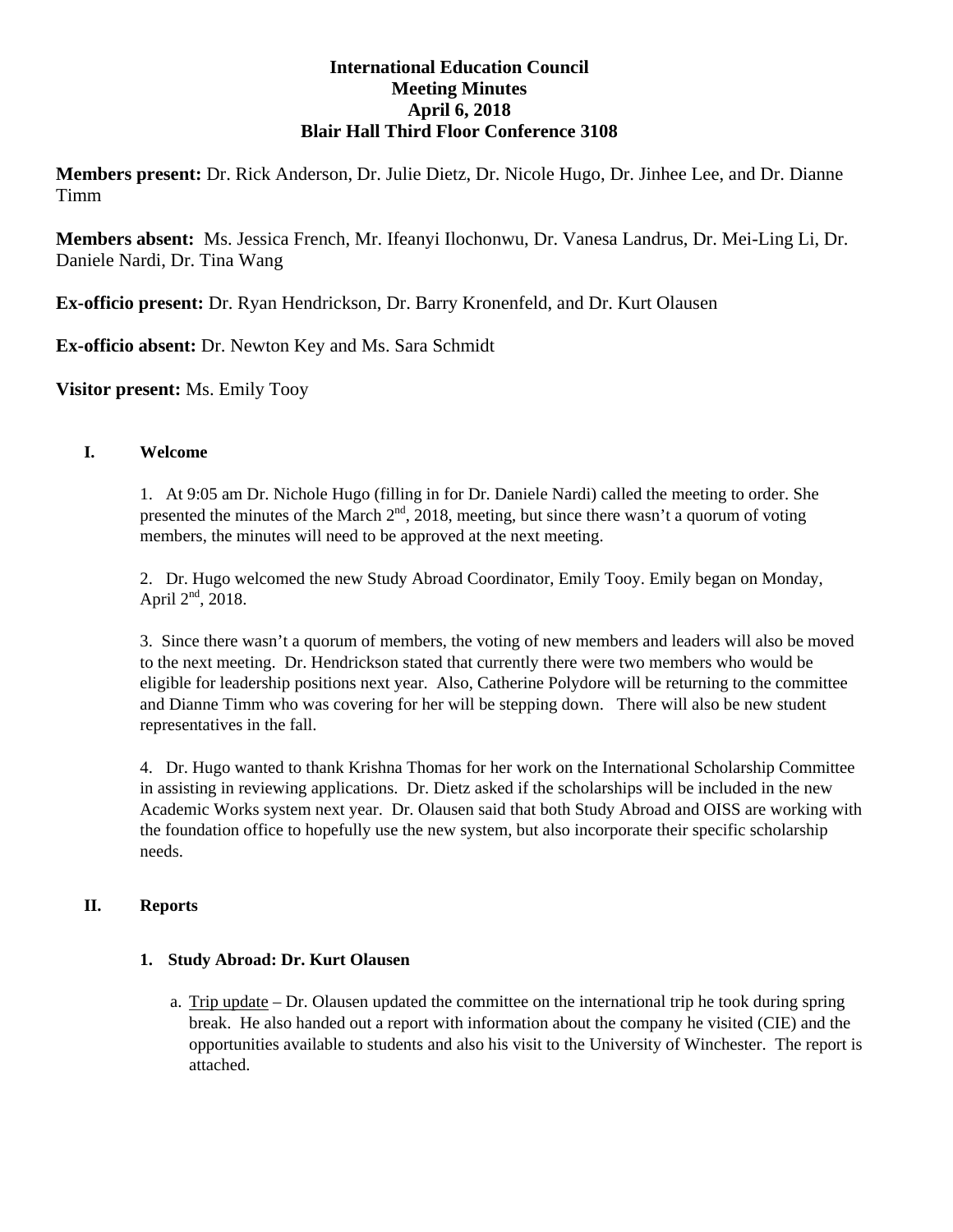# **International Education Council Meeting Minutes April 6, 2018 Blair Hall Third Floor Conference 3108**

**Members present:** Dr. Rick Anderson, Dr. Julie Dietz, Dr. Nicole Hugo, Dr. Jinhee Lee, and Dr. Dianne Timm

**Members absent:** Ms. Jessica French, Mr. Ifeanyi Ilochonwu, Dr. Vanesa Landrus, Dr. Mei-Ling Li, Dr. Daniele Nardi, Dr. Tina Wang

**Ex-officio present:** Dr. Ryan Hendrickson, Dr. Barry Kronenfeld, and Dr. Kurt Olausen

**Ex-officio absent:** Dr. Newton Key and Ms. Sara Schmidt

**Visitor present:** Ms. Emily Tooy

# **I. Welcome**

1. At 9:05 am Dr. Nichole Hugo (filling in for Dr. Daniele Nardi) called the meeting to order. She presented the minutes of the March  $2<sup>nd</sup>$ , 2018, meeting, but since there wasn't a quorum of voting members, the minutes will need to be approved at the next meeting.

2. Dr. Hugo welcomed the new Study Abroad Coordinator, Emily Tooy. Emily began on Monday, April  $2<sup>nd</sup>$ , 2018.

3. Since there wasn't a quorum of members, the voting of new members and leaders will also be moved to the next meeting. Dr. Hendrickson stated that currently there were two members who would be eligible for leadership positions next year. Also, Catherine Polydore will be returning to the committee and Dianne Timm who was covering for her will be stepping down. There will also be new student representatives in the fall.

4. Dr. Hugo wanted to thank Krishna Thomas for her work on the International Scholarship Committee in assisting in reviewing applications. Dr. Dietz asked if the scholarships will be included in the new Academic Works system next year. Dr. Olausen said that both Study Abroad and OISS are working with the foundation office to hopefully use the new system, but also incorporate their specific scholarship needs.

# **II. Reports**

### **1. Study Abroad: Dr. Kurt Olausen**

a. Trip update – Dr. Olausen updated the committee on the international trip he took during spring break. He also handed out a report with information about the company he visited (CIE) and the opportunities available to students and also his visit to the University of Winchester. The report is attached.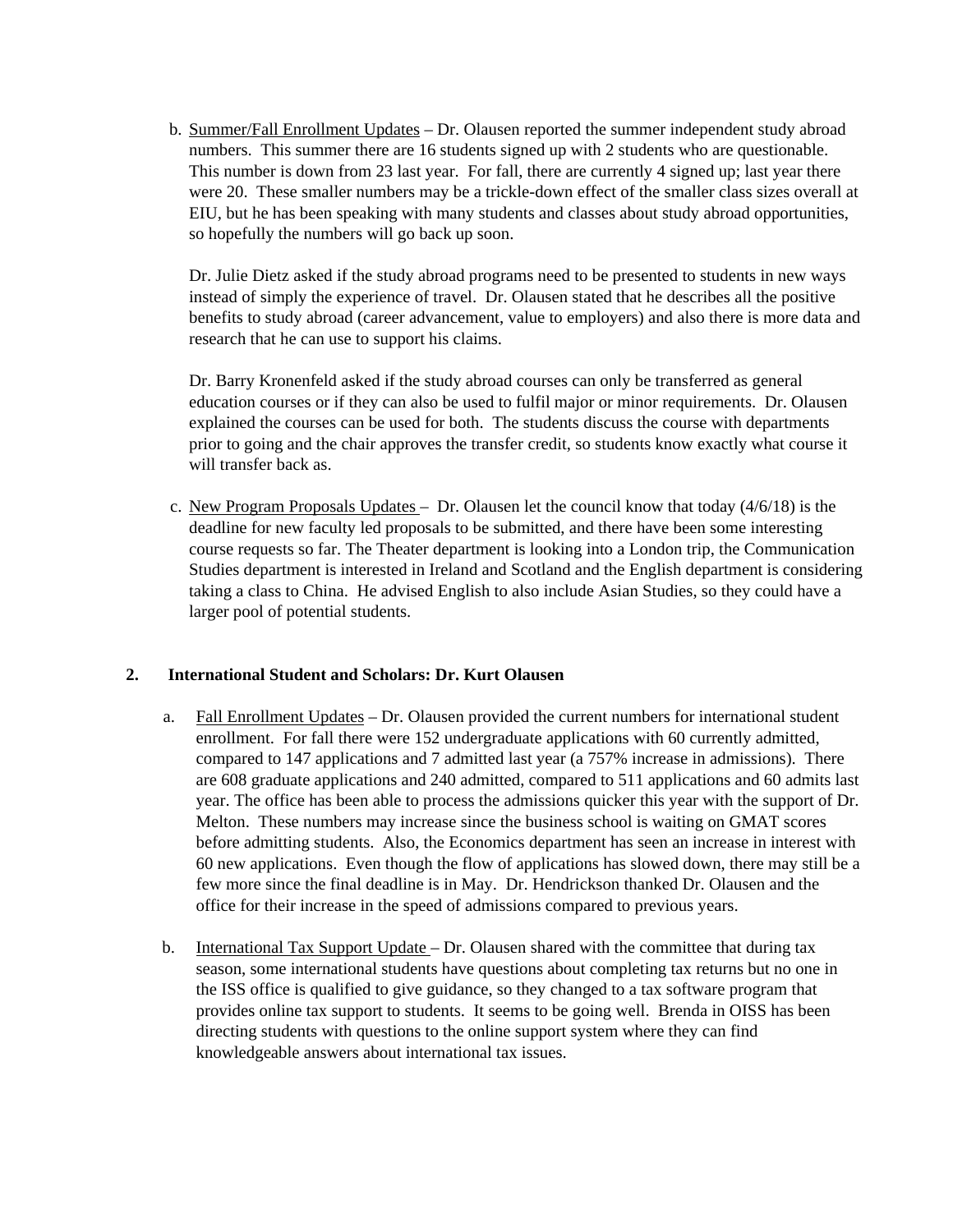b. Summer/Fall Enrollment Updates – Dr. Olausen reported the summer independent study abroad numbers. This summer there are 16 students signed up with 2 students who are questionable. This number is down from 23 last year. For fall, there are currently 4 signed up; last year there were 20. These smaller numbers may be a trickle-down effect of the smaller class sizes overall at EIU, but he has been speaking with many students and classes about study abroad opportunities, so hopefully the numbers will go back up soon.

Dr. Julie Dietz asked if the study abroad programs need to be presented to students in new ways instead of simply the experience of travel. Dr. Olausen stated that he describes all the positive benefits to study abroad (career advancement, value to employers) and also there is more data and research that he can use to support his claims.

Dr. Barry Kronenfeld asked if the study abroad courses can only be transferred as general education courses or if they can also be used to fulfil major or minor requirements. Dr. Olausen explained the courses can be used for both. The students discuss the course with departments prior to going and the chair approves the transfer credit, so students know exactly what course it will transfer back as.

c. New Program Proposals Updates – Dr. Olausen let the council know that today (4/6/18) is the deadline for new faculty led proposals to be submitted, and there have been some interesting course requests so far. The Theater department is looking into a London trip, the Communication Studies department is interested in Ireland and Scotland and the English department is considering taking a class to China. He advised English to also include Asian Studies, so they could have a larger pool of potential students.

#### **2. International Student and Scholars: Dr. Kurt Olausen**

- a. Fall Enrollment Updates Dr. Olausen provided the current numbers for international student enrollment. For fall there were 152 undergraduate applications with 60 currently admitted, compared to 147 applications and 7 admitted last year (a 757% increase in admissions). There are 608 graduate applications and 240 admitted, compared to 511 applications and 60 admits last year. The office has been able to process the admissions quicker this year with the support of Dr. Melton. These numbers may increase since the business school is waiting on GMAT scores before admitting students. Also, the Economics department has seen an increase in interest with 60 new applications. Even though the flow of applications has slowed down, there may still be a few more since the final deadline is in May. Dr. Hendrickson thanked Dr. Olausen and the office for their increase in the speed of admissions compared to previous years.
- b. International Tax Support Update Dr. Olausen shared with the committee that during tax season, some international students have questions about completing tax returns but no one in the ISS office is qualified to give guidance, so they changed to a tax software program that provides online tax support to students. It seems to be going well. Brenda in OISS has been directing students with questions to the online support system where they can find knowledgeable answers about international tax issues.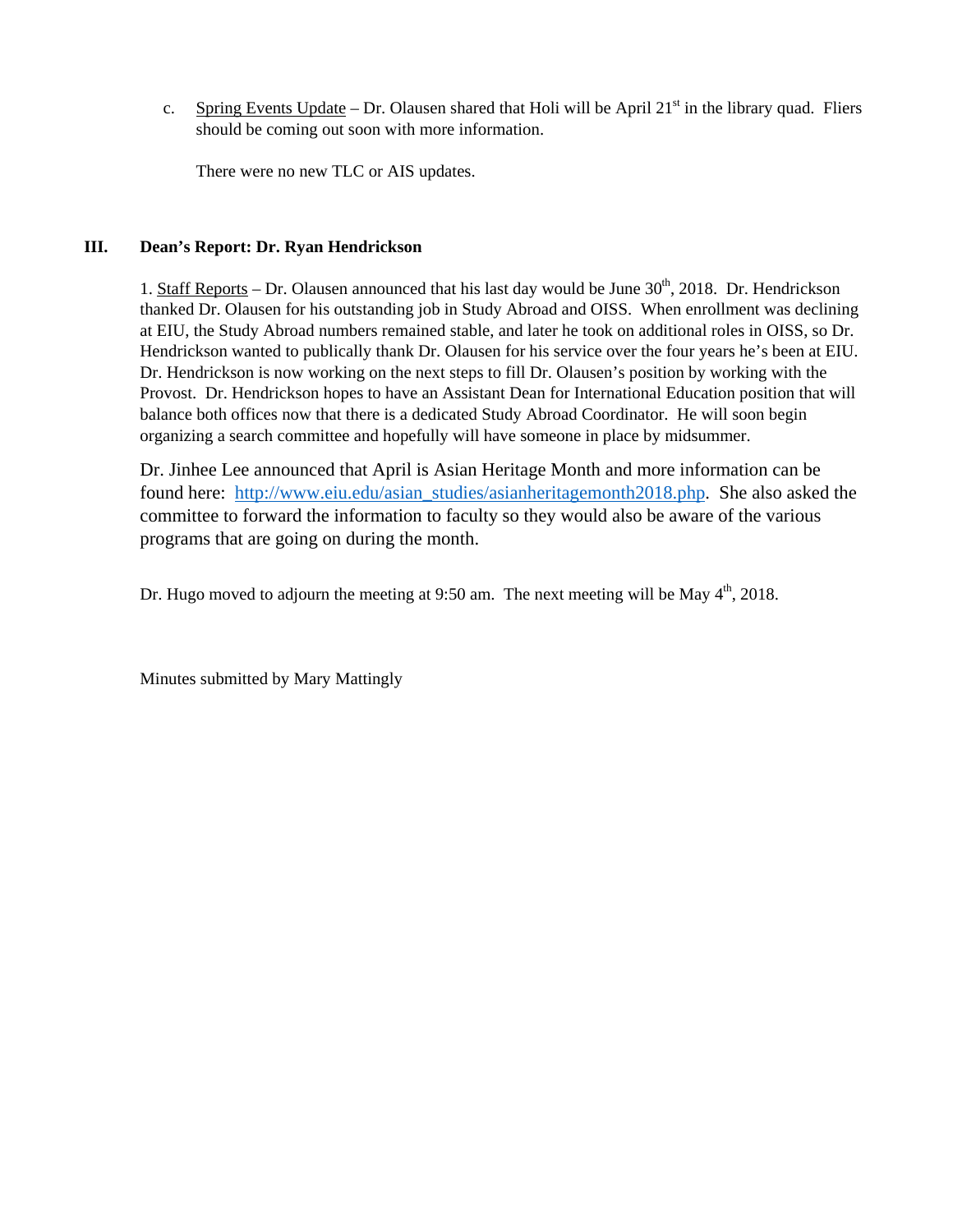c. Spring Events Update – Dr. Olausen shared that Holi will be April  $21<sup>st</sup>$  in the library quad. Fliers should be coming out soon with more information.

There were no new TLC or AIS updates.

### **III. Dean's Report: Dr. Ryan Hendrickson**

1. Staff Reports – Dr. Olausen announced that his last day would be June  $30<sup>th</sup>$ , 2018. Dr. Hendrickson thanked Dr. Olausen for his outstanding job in Study Abroad and OISS. When enrollment was declining at EIU, the Study Abroad numbers remained stable, and later he took on additional roles in OISS, so Dr. Hendrickson wanted to publically thank Dr. Olausen for his service over the four years he's been at EIU. Dr. Hendrickson is now working on the next steps to fill Dr. Olausen's position by working with the Provost. Dr. Hendrickson hopes to have an Assistant Dean for International Education position that will balance both offices now that there is a dedicated Study Abroad Coordinator. He will soon begin organizing a search committee and hopefully will have someone in place by midsummer.

Dr. Jinhee Lee announced that April is Asian Heritage Month and more information can be found here: http://www.eiu.edu/asian\_studies/asianheritagemonth2018.php. She also asked the committee to forward the information to faculty so they would also be aware of the various programs that are going on during the month.

Dr. Hugo moved to adjourn the meeting at 9:50 am. The next meeting will be May  $4<sup>th</sup>$ , 2018.

Minutes submitted by Mary Mattingly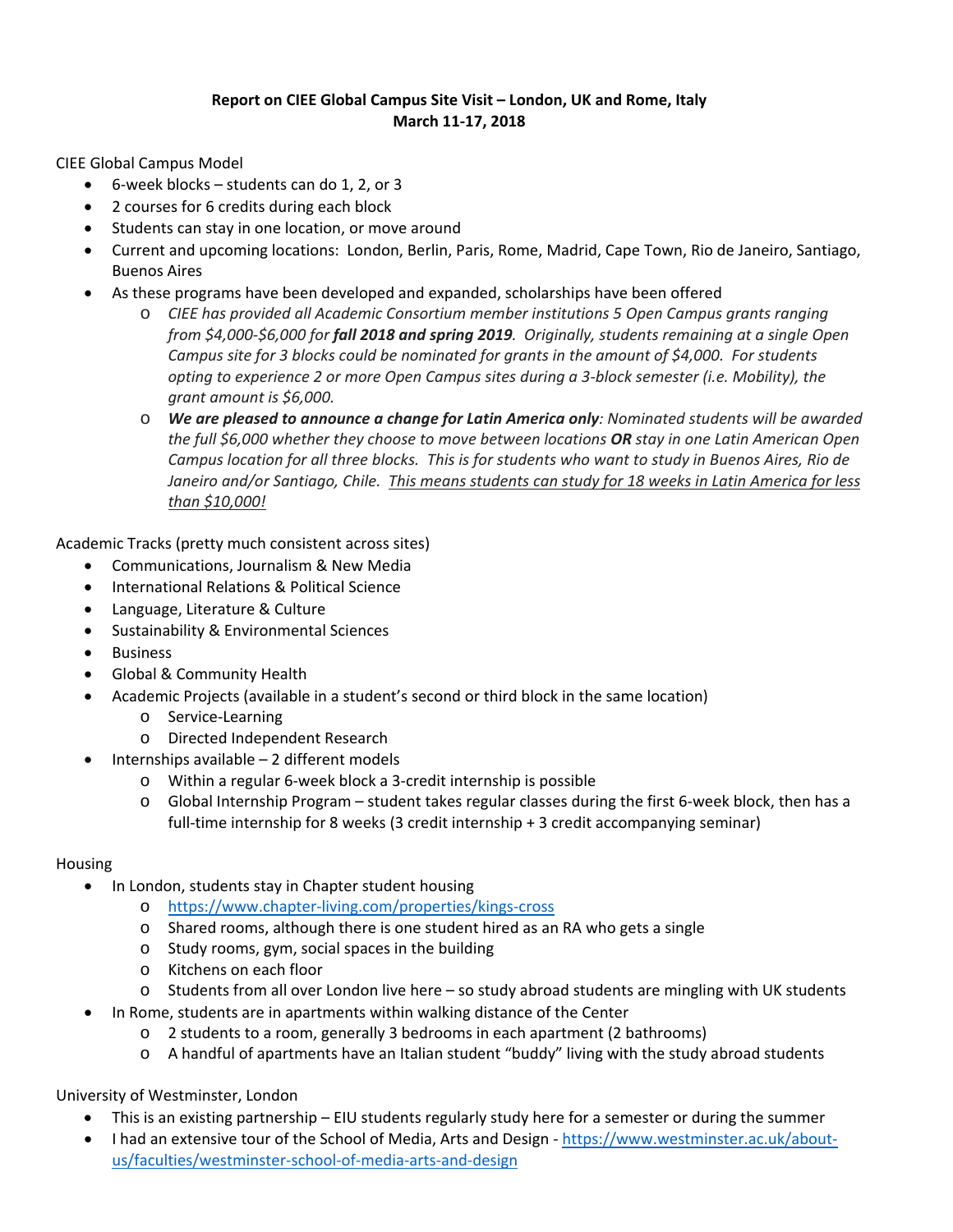# **Report on CIEE Global Campus Site Visit – London, UK and Rome, Italy March 11‐17, 2018**

CIEE Global Campus Model

- 6‐week blocks students can do 1, 2, or 3
- 2 courses for 6 credits during each block
- Students can stay in one location, or move around
- Current and upcoming locations: London, Berlin, Paris, Rome, Madrid, Cape Town, Rio de Janeiro, Santiago, Buenos Aires
- As these programs have been developed and expanded, scholarships have been offered
	- o *CIEE has provided all Academic Consortium member institutions 5 Open Campus grants ranging* from \$4,000-\$6,000 for fall 2018 and spring 2019. Originally, students remaining at a single Open *Campus site for 3 blocks could be nominated for grants in the amount of \$4,000. For students opting to experience 2 or more Open Campus sites during a 3‐block semester (i.e. Mobility), the grant amount is \$6,000.*
	- o *We are pleased to announce a change for Latin America only: Nominated students will be awarded the full \$6,000 whether they choose to move between locations OR stay in one Latin American Open* Campus location for all three blocks. This is for students who want to study in Buenos Aires, Rio de Janeiro and/or Santiago, Chile. This means students can study for 18 weeks in Latin America for less *than \$10,000!*

Academic Tracks (pretty much consistent across sites)

- Communications, Journalism & New Media
- International Relations & Political Science
- Language, Literature & Culture
- Sustainability & Environmental Sciences
- Business
- Global & Community Health
- Academic Projects (available in a student's second or third block in the same location)
	- o Service‐Learning
	- o Directed Independent Research
- Internships available 2 different models
	- o Within a regular 6‐week block a 3‐credit internship is possible
	- o Global Internship Program student takes regular classes during the first 6‐week block, then has a full-time internship for 8 weeks (3 credit internship + 3 credit accompanying seminar)

#### Housing

- In London, students stay in Chapter student housing
	- o https://www.chapter‐living.com/properties/kings‐cross
	- o Shared rooms, although there is one student hired as an RA who gets a single
	- o Study rooms, gym, social spaces in the building
	- o Kitchens on each floor
	- o Students from all over London live here so study abroad students are mingling with UK students
- In Rome, students are in apartments within walking distance of the Center
	- o 2 students to a room, generally 3 bedrooms in each apartment (2 bathrooms)
	- o A handful of apartments have an Italian student "buddy" living with the study abroad students

# University of Westminster, London

- This is an existing partnership EIU students regularly study here for a semester or during the summer
- I had an extensive tour of the School of Media, Arts and Design https://www.westminster.ac.uk/aboutus/faculties/westminster‐school‐of‐media‐arts‐and‐design